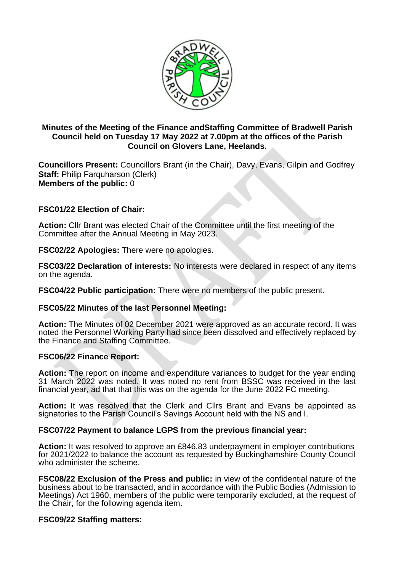

# **Minutes of the Meeting of the Finance andStaffing Committee of Bradwell Parish Council held on Tuesday 17 May 2022 at 7.00pm at the offices of the Parish Council on Glovers Lane, Heelands.**

**Councillors Present:** Councillors Brant (in the Chair), Davy, Evans, Gilpin and Godfrey **Staff:** Philip Farquharson (Clerk) **Members of the public:** 0

# **FSC01/22 Election of Chair:**

**Action:** Cllr Brant was elected Chair of the Committee until the first meeting of the Committee after the Annual Meeting in May 2023.

**FSC02/22 Apologies:** There were no apologies.

**FSC03/22 Declaration of interests:** No interests were declared in respect of any items on the agenda.

**FSC04/22 Public participation:** There were no members of the public present.

## **FSC05/22 Minutes of the last Personnel Meeting:**

**Action:** The Minutes of 02 December 2021 were approved as an accurate record. It was noted the Personnel Working Party had since been dissolved and effectively replaced by the Finance and Staffing Committee.

## **FSC06/22 Finance Report:**

**Action:** The report on income and expenditure variances to budget for the year ending 31 March 2022 was noted. It was noted no rent from BSSC was received in the last financial year, ad that that this was on the agenda for the June 2022 FC meeting.

**Action:** It was resolved that the Clerk and Cllrs Brant and Evans be appointed as signatories to the Parish Council's Savings Account held with the NS and I.

#### **FSC07/22 Payment to balance LGPS from the previous financial year:**

**Action:** It was resolved to approve an £846.83 underpayment in employer contributions for 2021/2022 to balance the account as requested by Buckinghamshire County Council who administer the scheme.

**FSC08/22 Exclusion of the Press and public:** in view of the confidential nature of the business about to be transacted, and in accordance with the Public Bodies (Admission to Meetings) Act 1960, members of the public were temporarily excluded, at the request of the Chair, for the following agenda item.

#### **FSC09/22 Staffing matters:**